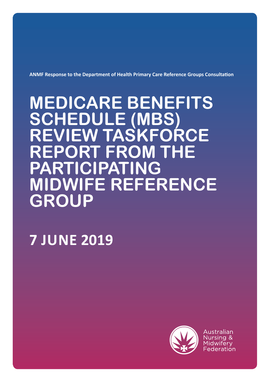**ANMF Response to the Department of Health Primary Care Reference Groups Consultation**

# **MEDICARE BENEFITS SCHEDULE (MBS) REVIEW TASKFORCE REPORT FROM THE PARTICIPATING MIDWIFE REFERENCE GROUP**

# **7 JUNE 2019**



Australian Nursing & Midwifery Federation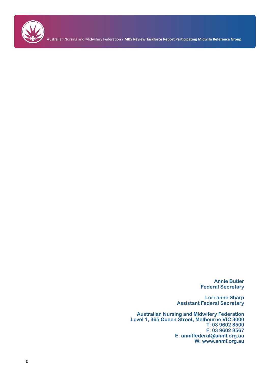

**Annie Butler Federal Secretary**

**Lori-anne Sharp Assistant Federal Secretary**

**Australian Nursing and Midwifery Federation Level 1, 365 Queen Street, Melbourne VIC 3000 T: 03 9602 8500 F: 03 9602 8567 E: anmffederal@anmf.org.au W: www.anmf.org.au**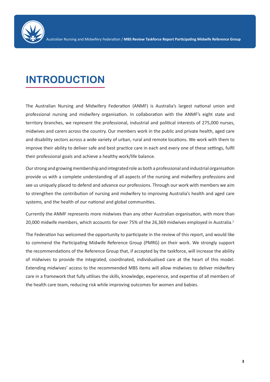

# **INTRODUCTION**

The Australian Nursing and Midwifery Federation (ANMF) is Australia's largest national union and professional nursing and midwifery organisation. In collaboration with the ANMF's eight state and territory branches, we represent the professional, industrial and political interests of 275,000 nurses, midwives and carers across the country. Our members work in the public and private health, aged care and disability sectors across a wide variety of urban, rural and remote locations. We work with them to improve their ability to deliver safe and best practice care in each and every one of these settings, fulfil their professional goals and achieve a healthy work/life balance.

Our strong and growing membership and integrated role as both a professional and industrial organisation provide us with a complete understanding of all aspects of the nursing and midwifery professions and see us uniquely placed to defend and advance our professions. Through our work with members we aim to strengthen the contribution of nursing and midwifery to improving Australia's health and aged care systems, and the health of our national and global communities.

Currently the ANMF represents more midwives than any other Australian organisation, with more than 20,000 midwife members, which accounts for over 75% of the 26,369 midwives employed in Australia.<sup>1</sup>

The Federation has welcomed the opportunity to participate in the review of this report, and would like to commend the Participating Midwife Reference Group (PMRG) on their work. We strongly support the recommendations of the Reference Group that, if accepted by the taskforce, will increase the ability of midwives to provide the integrated, coordinated, individualised care at the heart of this model. Extending midwives' access to the recommended MBS items will allow midwives to deliver midwifery care in a framework that fully utilises the skills, knowledge, experience, and expertise of all members of the health care team, reducing risk while improving outcomes for women and babies.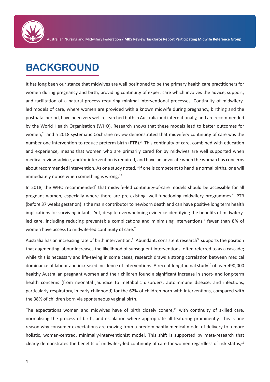

# **BACKGROUND**

It has long been our stance that midwives are well positioned to be the primary health care practitioners for women during pregnancy and birth, providing continuity of expert care which involves the advice, support, and facilitation of a natural process requiring minimal interventional processes. Continuity of midwiferyled models of care, where women are provided with a known midwife during pregnancy, birthing and the postnatal period, have been very well researched both in Australia and internationally, and are recommended by the World Health Organisation (WHO). Research shows that these models lead to better outcomes for women,<sup>2</sup> and a 2018 systematic Cochrane review demonstrated that midwifery continuity of care was the number one intervention to reduce preterm birth (PTB).<sup>3</sup> This continuity of care, combined with education and experience, means that women who are primarily cared for by midwives are well supported when medical review, advice, and/or intervention is required, and have an advocate when the woman has concerns about recommended intervention. As one study noted, "if one is competent to handle normal births, one will immediately notice when something is wrong."<sup>4</sup>

In 2018, the WHO recommended<sup>5</sup> that midwife-led continuity-of-care models should be accessible for all pregnant women, especially where there are pre-existing 'well-functioning midwifery programmes.'' PTB (before 37 weeks gestation) is the main contributor to newborn death and can have positive long term health implications for surviving infants. Yet, despite overwhelming evidence identifying the benefits of midwiferyled care, including reducing preventable complications and minimising interventions,<sup>6</sup> fewer than 8% of women have access to midwife-led continuity of care.<sup>7</sup>

Australia has an increasing rate of birth intervention.<sup>8</sup> Abundant, consistent research<sup>9</sup> supports the position that augmenting labour increases the likelihood of subsequent interventions, often referred to as a cascade; while this is necessary and life-saving in some cases, research draws a strong correlation between medical dominance of labour and increased incidence of interventions. A recent longitudinal study<sup>10</sup> of over 490,000 healthy Australian pregnant women and their children found a significant increase in short- and long-term health concerns (from neonatal jaundice to metabolic disorders, autoimmune disease, and infections, particularly respiratory, in early childhood) for the 62% of children born with interventions, compared with the 38% of children born via spontaneous vaginal birth.

The expectations women and midwives have of birth closely cohere, $11$  with continuity of skilled care, normalising the process of birth, and escalation where appropriate all featuring prominently. This is one reason why consumer expectations are moving from a predominantly medical model of delivery to a more holistic, woman-centred, minimally-interventionist model. This shift is supported by meta-research that clearly demonstrates the benefits of midwifery-led continuity of care for women regardless of risk status,<sup>12</sup>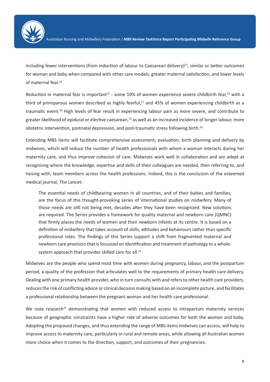

including fewer interventions (from induction of labour to Caesarean delivery)<sup>13</sup>, similar or better outcomes for woman and baby when compared with other care models, greater maternal satisfaction, and lower levels of maternal fear.14

Reduction in maternal fear is important<sup>15</sup> - some 10% of women experience severe childbirth fear,<sup>16</sup> with a third of primiparous women described as highly fearful,<sup>17</sup> and 45% of women experiencing childbirth as a traumatic event.18 High levels of fear result in experiencing labour pain as more severe, and contribute to greater likelihood of epidural or elective caesarean,<sup>19</sup> as well as an increased incidence of longer labour, more obstetric intervention, postnatal depression, and post-traumatic stress following birth.<sup>20</sup>

Extending MBS items will facilitate comprehensive assessment, evaluation, birth planning and delivery by midwives, which will reduce the number of health professionals with whom a woman interacts during her maternity care, and thus improve cohesion of care. Midwives work well in collaboration and are adept at recognising where the knowledge, expertise and skills of their colleagues are needed, then referring to, and liaising with, team members across the health professions. Indeed, this is the conclusion of the esteemed medical journal, The Lancet:

The essential needs of childbearing women in all countries, and of their babies and families, are the focus of this thought-provoking series of international studies on midwifery. Many of those needs are still not being met, decades after they have been recognized. New solutions are required. The Series provides a framework for quality maternal and newborn care (QMNC) that firmly places the needs of women and their newborn infants at its centre. It is based on a definition of midwifery that takes account of skills, attitudes and behaviours rather than specific professional roles. The findings of this Series support a shift from fragmented maternal and newborn care provision that is focussed on identification and treatment of pathology to a wholesystem approach that provides skilled care for all.<sup>21</sup>

Midwives are the people who spend most time with women during pregnancy, labour, and the postpartum period, a quality of the profession that articulates well to the requirements of primary health care delivery. Dealing with one primary health provider, who in turn consults with and refers to other health care providers, reduces the risk of conflicting advice or clinical decision making based on an incomplete picture, and facilitates a professional relationship between the pregnant woman and her health care professional.

We note research<sup>22</sup> demonstrating that women with reduced access to intrapartum maternity services because of geographic constraints have a higher rate of adverse outcomes for both the woman and baby. Adopting the proposed changes, and thus extending the range of MBS items midwives can access, will help to improve access to maternity care, particularly in rural and remote areas, while allowing all Australian women more choice when it comes to the direction, support, and outcomes of their pregnancies.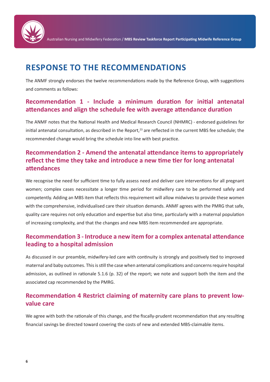

## **RESPONSE TO THE RECOMMENDATIONS**

The ANMF strongly endorses the twelve recommendations made by the Reference Group, with suggestions and comments as follows:

### **Recommendation 1 - Include a minimum duration for initial antenatal attendances and align the schedule fee with average attendance duration**

The ANMF notes that the National Health and Medical Research Council (NHMRC) - endorsed guidelines for initial antenatal consultation, as described in the Report, $^{23}$  are reflected in the current MBS fee schedule; the recommended change would bring the schedule into line with best practice.

## **Recommendation 2 - Amend the antenatal attendance items to appropriately reflect the time they take and introduce a new time tier for long antenatal attendances**

We recognise the need for sufficient time to fully assess need and deliver care interventions for all pregnant women; complex cases necessitate a longer time period for midwifery care to be performed safely and competently. Adding an MBS item that reflects this requirement will allow midwives to provide these women with the comprehensive, individualised care their situation demands. ANMF agrees with the PMRG that safe, quality care requires not only education and expertise but also time, particularly with a maternal population of increasing complexity, and that the changes and new MBS item recommended are appropriate.

## **Recommendation 3 - Introduce a new item for a complex antenatal attendance leading to a hospital admission**

As discussed in our preamble, midwifery-led care with continuity is strongly and positively tied to improved maternal and baby outcomes. This is still the case when antenatal complications and concerns require hospital admission, as outlined in rationale 5.1.6 (p. 32) of the report; we note and support both the item and the associated cap recommended by the PMRG.

### **Recommendation 4 Restrict claiming of maternity care plans to prevent lowvalue care**

We agree with both the rationale of this change, and the fiscally-prudent recommendation that any resulting financial savings be directed toward covering the costs of new and extended MBS-claimable items.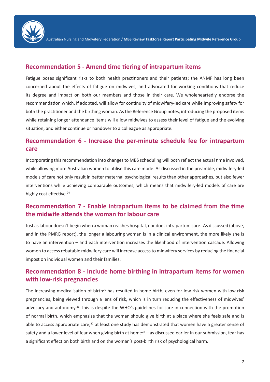

#### **Recommendation 5 - Amend time tiering of intrapartum items**

Fatigue poses significant risks to both health practitioners and their patients; the ANMF has long been concerned about the effects of fatigue on midwives, and advocated for working conditions that reduce its degree and impact on both our members and those in their care. We wholeheartedly endorse the recommendation which, if adopted, will allow for continuity of midwifery-led care while improving safety for both the practitioner and the birthing woman. As the Reference Group notes, introducing the proposed items while retaining longer attendance items will allow midwives to assess their level of fatigue and the evolving situation, and either continue or handover to a colleague as appropriate.

#### **Recommendation 6 - Increase the per-minute schedule fee for intrapartum care**

Incorporating this recommendation into changes to MBS scheduling will both reflect the actual time involved, while allowing more Australian women to utilise this care mode. As discussed in the preamble, midwifery-led models of care not only result in better maternal psychological results than other approaches, but also fewer interventions while achieving comparable outcomes, which means that midwifery-led models of care are highly cost effective.<sup>24</sup>

#### **Recommendation 7 - Enable intrapartum items to be claimed from the time the midwife attends the woman for labour care**

Just as labour doesn't begin when a woman reaches hospital, nor does intrapartum care. As discussed (above, and in the PMRG report), the longer a labouring woman is in a clinical environment, the more likely she is to have an intervention – and each intervention increases the likelihood of intervention cascade. Allowing women to access rebatable midwifery care will increase access to midwifery services by reducing the financial impost on individual women and their families.

#### **Recommendation 8 - Include home birthing in intrapartum items for women with low-risk pregnancies**

The increasing medicalisation of birth<sup>25</sup> has resulted in home birth, even for low-risk women with low-risk pregnancies, being viewed through a lens of risk, which is in turn reducing the effectiveness of midwives' advocacy and autonomy.<sup>26</sup> This is despite the WHO's guidelines for care in connection with the promotion of normal birth, which emphasise that the woman should give birth at a place where she feels safe and is able to access appropriate care;<sup>27</sup> at least one study has demonstrated that women have a greater sense of safety and a lower level of fear when giving birth at home<sup>28</sup> – as discussed earlier in our submission, fear has a significant effect on both birth and on the woman's post-birth risk of psychological harm.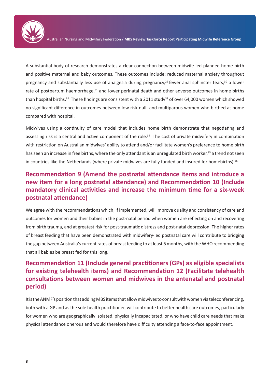

A substantial body of research demonstrates a clear connection between midwife-led planned home birth and positive maternal and baby outcomes. These outcomes include: reduced maternal anxiety throughout pregnancy and substantially less use of analgesia during pregnancy,<sup>29</sup> fewer anal sphincter tears,<sup>30</sup> a lower rate of postpartum haemorrhage,<sup>31</sup> and lower perinatal death and other adverse outcomes in home births than hospital births.<sup>32</sup> These findings are consistent with a 2011 study<sup>33</sup> of over 64,000 women which showed no significant difference in outcomes between low-risk null- and multiparous women who birthed at home compared with hospital.

Midwives using a continuity of care model that includes home birth demonstrate that negotiating and assessing risk is a central and active component of the role.<sup>34</sup> The cost of private midwifery in combination with restriction on Australian midwives' ability to attend and/or facilitate women's preference to home birth has seen an increase in free births, where the only attendant is an unregulated birth worker,<sup>35</sup> a trend not seen in countries like the Netherlands (where private midwives are fully funded and insured for homebirths).<sup>36</sup>

### **Recommendation 9 (Amend the postnatal attendance items and introduce a new item for a long postnatal attendance) and Recommendation 10 (Include mandatory clinical activities and increase the minimum time for a six-week postnatal attendance)**

We agree with the recommendations which, if implemented, will improve quality and consistency of care and outcomes for women and their babies in the post-natal period when women are reflecting on and recovering from birth trauma, and at greatest risk for post-traumatic distress and post-natal depression. The higher rates of breast feeding that have been demonstrated with midwifery-led postnatal care will contribute to bridging the gap between Australia's current rates of breast feeding to at least 6 months, with the WHO recommending that all babies be breast fed for this long.

### **Recommendation 11 (Include general practitioners (GPs) as eligible specialists for existing telehealth items) and Recommendation 12 (Facilitate telehealth consultations between women and midwives in the antenatal and postnatal period)**

It is the ANMF's position that adding MBS items that allow midwives to consult with women via teleconferencing, both with a GP and as the sole health practitioner, will contribute to better health care outcomes, particularly for women who are geographically isolated, physically incapacitated, or who have child care needs that make physical attendance onerous and would therefore have difficulty attending a face-to-face appointment.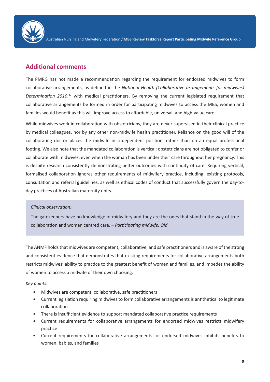

#### **Additional comments**

The PMRG has not made a recommendation regarding the requirement for endorsed midwives to form collaborative arrangements, as defined in the *National Health (Collaborative arrangements for midwives)*  Determination 2010,<sup>37</sup> with medical practitioners. By removing the current legislated requirement that collaborative arrangements be formed in order for participating midwives to access the MBS, women and families would benefit as this will improve access to affordable, universal, and high-value care.

While midwives work in collaboration with obstetricians, they are never supervised in their clinical practice by medical colleagues, nor by any other non-midwife health practitioner. Reliance on the good will of the collaborating doctor places the midwife in a dependent position, rather than on an equal professional footing. We also note that the mandated collaboration is vertical: obstetricians are not obligated to confer or collaborate with midwives, even when the woman has been under their care throughout her pregnancy. This is despite research consistently demonstrating better outcomes with continuity of care. Requiring vertical, formalised collaboration ignores other requirements of midwifery practice, including: existing protocols, consultation and referral guidelines, as well as ethical codes of conduct that successfully govern the day-today practices of Australian maternity units.

#### *Clinical observation:*

The gatekeepers have no knowledge of midwifery and they are the ones that stand in the way of true collaboration and woman centred care. – *Participating midwife, Qld*

The ANMF holds that midwives are competent, collaborative, and safe practitioners and is aware of the strong and consistent evidence that demonstrates that existing requirements for collaborative arrangements both restricts midwives' ability to practice to the greatest benefit of women and families, and impedes the ability of women to access a midwife of their own choosing.

#### *Key points:*

- Midwives are competent, collaborative, safe practitioners
- Current legislation requiring midwives to form collaborative arrangements is antithetical to legitimate collaboration
- There is insufficient evidence to support mandated collaborative practice requirements
- Current requirements for collaborative arrangements for endorsed midwives restricts midwifery practice
- Current requirements for collaborative arrangements for endorsed midwives inhibits benefits to women, babies, and families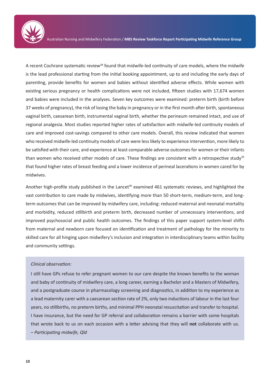

A recent Cochrane systematic review<sup>38</sup> found that midwife-led continuity of care models, where the midwife is the lead professional starting from the initial booking appointment, up to and including the early days of parenting, provide benefits for women and babies without identified adverse effects. While women with existing serious pregnancy or health complications were not included, fifteen studies with 17,674 women and babies were included in the analyses. Seven key outcomes were examined: preterm birth (birth before 37 weeks of pregnancy), the risk of losing the baby in pregnancy or in the first month after birth, spontaneous vaginal birth, caesarean birth, instrumental vaginal birth, whether the perineum remained intact, and use of regional analgesia. Most studies reported higher rates of satisfaction with midwife‐led continuity models of care and improved cost‐savings compared to other care models. Overall, this review indicated that women who received midwife-led continuity models of care were less likely to experience intervention, more likely to be satisfied with their care, and experience at least comparable adverse outcomes for women or their infants than women who received other models of care. These findings are consistent with a retrospective study<sup>39</sup> that found higher rates of breast feeding and a lower incidence of perineal lacerations in women cared for by midwives.

Another high-profile study published in the Lancet<sup>40</sup> examined 461 systematic reviews, and highlighted the vast contribution to care made by midwives, identifying more than 50 short-term, medium-term, and longterm outcomes that can be improved by midwifery care, including: reduced maternal and neonatal mortality and morbidity, reduced stillbirth and preterm birth, decreased number of unnecessary interventions, and improved psychosocial and public health outcomes. The findings of this paper support system-level shifts from maternal and newborn care focused on identification and treatment of pathology for the minority to skilled care for all hinging upon midwifery's inclusion and integration in interdisciplinary teams within facility and community settings.

#### *Clinical observation:*

I still have GPs refuse to refer pregnant women to our care despite the known benefits to the woman and baby of continuity of midwifery care, a long career, earning a Bachelor and a Masters of Midwifery, and a postgraduate course in pharmacology screening and diagnostics, in addition to my experience as a lead maternity carer with a caesarean section rate of 2%, only two inductions of labour in the last four years, no stillbirths, no preterm births, and minimal PPH neonatal resuscitation and transfer to hospital. I have insurance, but the need for GP referral and collaboration remains a barrier with some hospitals that wrote back to us on each occasion with a letter advising that they will **not** collaborate with us. – *Participating midwife, Qld*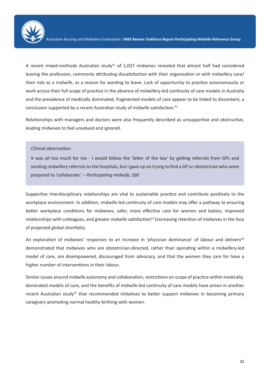

A recent mixed-methods Australian study $41$  of 1,037 midwives revealed that almost half had considered leaving the profession, commonly attributing dissatisfaction with their organisation or with midwifery care/ their role as a midwife, as a reason for wanting to leave. Lack of opportunity to practice autonomously or work across their full scope of practice in the absence of midwifery-led continuity of care models in Australia and the prevalence of medically dominated, fragmented models of care appear to be linked to discontent, a conclusion supported by a recent Australian study of midwife satisfaction.<sup>42</sup>

Relationships with managers and doctors were also frequently described as unsupportive and obstructive, leading midwives to feel unvalued and ignored.

#### *Clinical observation:*

It was all too much for me - I would follow the 'letter of the law' by getting referrals from GPs and sending midwifery referrals to the hospitals, but I gave up on trying to find a GP or obstetrician who were prepared to 'collaborate.' – *Participating midwife, Qld*

Supportive interdisciplinary relationships are vital to sustainable practice and contribute positively to the workplace environment. In addition, midwife-led continuity of care models may offer a pathway to ensuring better workplace conditions for midwives, safer, more effective care for women and babies, improved relationships with colleagues, and greater midwife satisfaction<sup>43</sup> (increasing retention of midwives in the face of projected global shortfalls).

An exploration of midwives' responses to an increase in 'physician dominance' of labour and delivery<sup>44</sup> demonstrated that midwives who are obstetrician-directed, rather than operating within a midwifery-led model of care, are disempowered, discouraged from advocacy, and that the women they care for have a higher number of interventions in their labour.

Similar issues around midwife autonomy and collaboration, restrictions on scope of practice within medicallydominated models of care, and the benefits of midwife-led continuity of care models have arisen in another recent Australian study<sup>45</sup> that recommended initiatives to better support midwives in becoming primary caregivers promoting normal healthy birthing with women.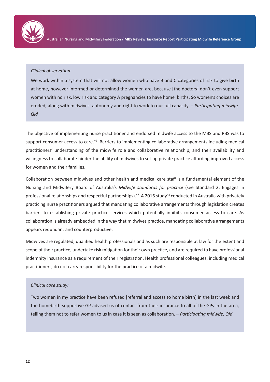

#### *Clinical observation:*

We work within a system that will not allow women who have B and C categories of risk to give birth at home, however informed or determined the women are, because [the doctors] don't even support women with no risk, low risk and category A pregnancies to have home births. So women's choices are eroded, along with midwives' autonomy and right to work to our full capacity. – *Participating midwife, Qld*

The objective of implementing nurse practitioner and endorsed midwife access to the MBS and PBS was to support consumer access to care.<sup>46</sup> Barriers to implementing collaborative arrangements including medical practitioners' understanding of the midwife role and collaborative relationship, and their availability and willingness to collaborate hinder the ability of midwives to set up private practice affording improved access for women and their families.

Collaboration between midwives and other health and medical care staff is a fundamental element of the Nursing and Midwifery Board of Australia's *Midwife standards for practice* (see Standard 2: Engages in professional relationships and respectful partnerships).<sup>47</sup> A 2016 study<sup>48</sup> conducted in Australia with privately practicing nurse practitioners argued that mandating collaborative arrangements through legislation creates barriers to establishing private practice services which potentially inhibits consumer access to care. As collaboration is already embedded in the way that midwives practice, mandating collaborative arrangements appears redundant and counterproductive.

Midwives are regulated, qualified health professionals and as such are responsible at law for the extent and scope of their practice, undertake risk mitigation for their own practice, and are required to have professional indemnity insurance as a requirement of their registration. Health professional colleagues, including medical practitioners, do not carry responsibility for the practice of a midwife.

#### *Clinical case study:*

Two women in my practice have been refused [referral and access to home birth] in the last week and the homebirth-supportive GP advised us of contact from their insurance to all of the GPs in the area, telling them not to refer women to us in case it is seen as collaboration. – *Participating midwife, Qld*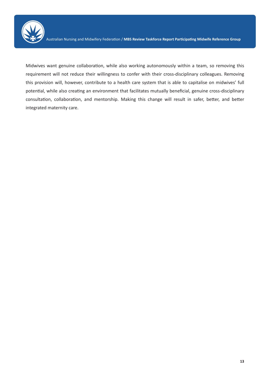

Midwives want genuine collaboration, while also working autonomously within a team, so removing this requirement will not reduce their willingness to confer with their cross-disciplinary colleagues. Removing this provision will, however, contribute to a health care system that is able to capitalise on midwives' full potential, while also creating an environment that facilitates mutually beneficial, genuine cross-disciplinary consultation, collaboration, and mentorship. Making this change will result in safer, better, and better integrated maternity care.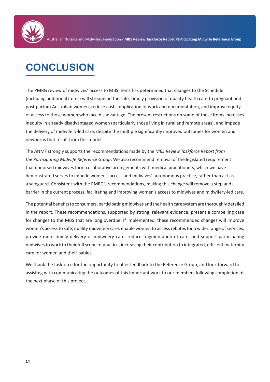

# **CONCLUSION**

The PMRG review of midwives' access to MBS items has determined that changes to the Schedule (including additional items) will streamline the safe, timely provision of quality health care to pregnant and post-partum Australian women, reduce costs, duplication of work and documentation, and improve equity of access to those women who face disadvantage. The present restrictions on some of these items increases inequity in already disadvantaged women (particularly those living in rural and remote areas), and impede the delivery of midwifery-led care, despite the multiple significantly improved outcomes for women and newborns that result from this model.

The ANMF strongly supports the recommendations made by the *MBS Review Taskforce Report from the Participating Midwife Reference Group*. We also recommend removal of the legislated requirement that endorsed midwives form collaborative arrangements with medical practitioners, which we have demonstrated serves to impede women's access and midwives' autonomous practice, rather than act as a safeguard. Consistent with the PMRG's recommendations, making this change will remove a step and a barrier in the current process, facilitating and improving women's access to midwives and midwifery-led care.

The potential benefits to consumers, participating midwives and the health care system are thoroughly detailed in the report. These recommendations, supported by strong, relevant evidence, present a compelling case for changes to the MBS that are long overdue. If implemented, these recommended changes will improve women's access to safe, quality midwifery care, enable women to access rebates for a wider range of services, provide more timely delivery of midwifery care, reduce fragmentation of care, and support participating midwives to work to their full scope of practice, increasing their contribution to integrated, efficient maternity care for women and their babies.

We thank the taskforce for the opportunity to offer feedback to the Reference Group, and look forward to assisting with communicating the outcomes of this important work to our members following completion of the next phase of this project.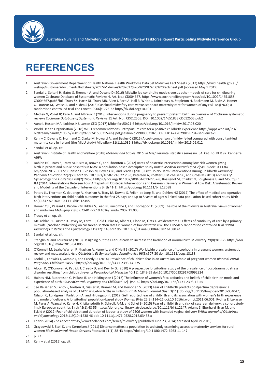

# **REFERENCES**

- 1. Australian Government Department of Health National Health Workforce Data Set Midwives Fact Sheets (2017) https://hwd.health.gov.au/ webapi/customer/documents/factsheets/2017/Midwives%202017%20-%20NHWDS%20factsheet.pdf [accessed May 1 2019]
- 2. Sandall J, Soltani H, Gates S, Shennan A, and Devane D (2016) Midwife-led continuity models versus other models of care for childbearing women Cochrane Database of Systematic Reviews 4. Art. No.: CD004667. https://www.cochranelibrary.com/cdsr/doi/10.1002/14651858. CD004667.pub5/full; Tracy SK, Hartz DL, Tracy MB, Allen J, Forti A, Hall B, White J, Lainchbury A, Stapleton H, Beckmann M, Bisits A, Homer C, Foureur M, Welsh A, and Kildea S (2013) Caseload midwifery care versus standard maternity care for women of any risk: M@NGO, a randomised controlled trial The Lancet (9906):1723-32 http://dx.doi.org/10.101
- 3. Medley N, Vogel JP, Care A, and Alfirevic Z (2018) Interventions during pregnancy to prevent preterm birth: an overview of Cochrane systematic reviews *Cochrane Database of Systematic Reviews* 11 Art. No.: CD012505. DOI: 10.1002/14651858.CD012505.pub2
- 4. Aune I, Hoston MA, Kolshus NJ, Larsen CEG (2017) Midwifery50:21-6 https://doi.org/10.1016/j.midw.2017.03.020
- 5. World Health Organisation (2018) WHO recommendations: Intrapartum care for a positive childbirth experience https://apps.who.int/iris/ bitstream/handle/10665/260178/9789241550215-eng.pdf;jsessionid=99080021825D095FB147A2029819F734?sequence=1
- 6. Kenny C, Devane D, Normand C, Clarke M, Howard A, and Begley C (2015) A cost-comparison of midwife-led compared with consultant-led maternity care in Ireland (the MidU study) Midwifery 31(11):1032-8 http://dx.doi.org/10.1016/j.midw.2015.06.012
- 7. Sandall et al. op. cit.
- 8. Australian Institute of Health and Welfare (2018) *Mothers and babies 2016: in brief* Perinatal statistics series no. 34. Cat. no. PER 97. Canberra: AIHW
- 9. Dahlen HG, Tracy S, Tracy M, Bisits A, Brown C, and Thornton C (2012) Rates of obstetric intervention among low-risk women giving birth in private and public hospitals in NSW: a population-based descriptive study *British Medical Journal Open* 2(5):1-8 doi:10.1136/ bmjopen-2012-001723; Jansen L, Gibson M, Bowles BC, and Leach J (2013) First Do No Harm: Interventions During Childbirth *Journal of Perinatal Education* 22(2):x`83-92 doi: 10.1891/1058-1243.22.2.83; Petersen A, Poetter U, Michelsen C, and Gross M (2013) *Archives of Gynecology and Obstetrics* 288(2):245-54 https://doi.org/10.1007/s00404-013-2737-8; Rossignol M, Chaillet N, Boughrassa F, and Moutquin JM (2014) Interrelations Between Four Antepartum Obstetric Interventions and Cesarean Delivery in Women at Low Risk: A Systematic Review and Modeling of the Cascade of Interventions Birth 41(1): https://doi.org/10.1111/birt.12088
- 10. Peters LL, Thornton C, de Jonge A, Khashan A, Tracy M, Downe S, Feijen-de Jong EI, and Dahlen HG (2017) The effect of medical and operative birth interventions on child health outcomes in the first 28 days and up to 5 years of age: A linked data population-based cohort study Birth 45(4):347-57 DOI: 10.1111/birt.12348
- 11. Homer CSE, Passant L, Brodie PM, Kildea S, Leap N, Pincombe J, and Thorogood C. (2009) The role of the midwife in Australia: views of women and midwives *Midwifery* 25(6):673-81 doi:10.1016/j.midw.2007.11.003
- 12. Tracey et al. op. cit.
- 13. McLachlan H, Forster D, Davey M, Farrell T, Gold L, Biro M, Albers L, Flood M, Oats J, Waldenström U. Effects of continuity of care by a primary midwife (caseload midwifery) on caesarean section rates in women of low obstetric risk: the COSMOS randomised controlled trial *British Journal of Obstetrics and Gynaecology* 119(12): 1483-92 doi: 10.1097/01.aoa.0000443382.61680.ef
- 14. Sandall et al. op. cit.
- 15. Stenglin M and Foureur M (2013) Designing out the Fear Cascade to increase the likelihood of normal birth Midwifery 29(8):819-25 https://doi. org/10.1016/j.midw.2013.04.005
- 16. O'Connell M, Leahy-Warren P, Khashan A, Kenny L, and O'Neill S (2017) Worldwide prevalence of tocophobia in pregnant women: systematic review and metaanalysis *Acta Obstetricia Et Gynecologica Scandinavica* 96(8):907-20 doi: 10.1111/aogs.13138
- 17. Toohill J, Fenwick J, Gamble J, and Creedy D. (2014) Prevalence of childbirth fear in an Australian sample of pregnant women B*ioMedCentral Pregnancy Childbirth* 14:275 https://doi.org/10.1186/1471-2393-14-275
- 18. Alcorn K, O'Donovan A, Patrick J, Creedy D, and Devilly G. (2010) A prospective longitudinal study of the prevalence of post-traumatic stress disorder resulting from childbirth events *Psychological Medicine* 40(11): 1849-59 doi:10.1017/S0033291709992224
- 19. Haines HM, Rubertsson C, Pallant JF, and Hildingsson I (2012) The influence of women's fear, attitudes and beliefs of childbirth on mode and experience of birth *BioMedCentral Pregnancy and Childbirth* 12(1):55-69 https://doi.org/10.1186/1471-2393-12-55
- 20. See Räisänen S, Lehto S, Nielsen H, Gissler M, Kramer M, and Heinonen S. (2013) Fear of childbirth predicts postpartum depression: a population-based analysis of 511422 singleton births in Finland *British Medical Journal Open* 3(11): doi.org/10.1136/bmjopen-2013-004047; Nilsson C, Lundgren I, Karlstrom A, and Hildingsson I. (2012) Self reported fear of childbirth and its association with women's birth experience and mode of delivery: A longitudinal population-based study *Women Birth* 25(3):114–21 doi:10.1016/j.wombi.2011.06.001; Ryding E, Lukasse M, Parys A, Wangel A, Karro H, Kristjansdottir H, Schroll, A-M, and Schei B (2015) Fear of childbirth and risk of cesarean delivery: a cohort study in six European countries Birth 42(1):48-55 https://doi-org.ez.library.latrobe.edu.au/10.1111/birt.12147; Adams S, Eberhard-Gran M, and Eskild A (2012) Fear of childbirth and duration of labour: a study of 2206 women with intended vaginal delivery *British Journal of Obstetrics and Gynaecology* 2012;119(10):1238-46 doi: 10.1111/j.1471-0528.2012.03433.x
- 21. Editor (2014) *The Lancet* https://www.thelancet.com/series/midwifery [published June 23, 2014; accessed April 29 2019]
- 22. Grzybowski S, Stoll K, and Kornelsen J (2011) Distance matters: a population based study examining access to maternity services for rural women *BioMedCentral Health Services Research* 11(1):38-43 https://doi.org/10.1186/1472-6963-11-147
- 23. p. 27
- 24. Kenny et al (2015) op. cit.